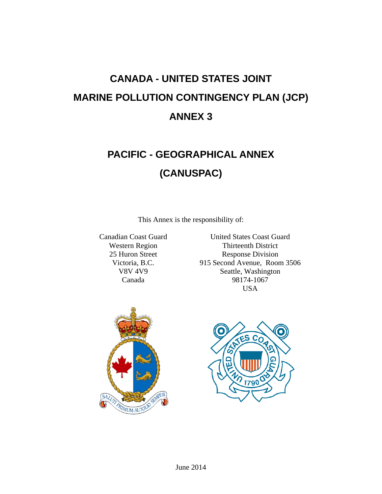# **CANADA - UNITED STATES JOINT MARINE POLLUTION CONTINGENCY PLAN (JCP) ANNEX 3**

# **PACIFIC - GEOGRAPHICAL ANNEX (CANUSPAC)**

This Annex is the responsibility of:

Canadian Coast Guard Western Region 25 Huron Street Victoria, B.C. V8V 4V9 Canada

United States Coast Guard Thirteenth District Response Division 915 Second Avenue, Room 3506 Seattle, Washington 98174-1067 USA



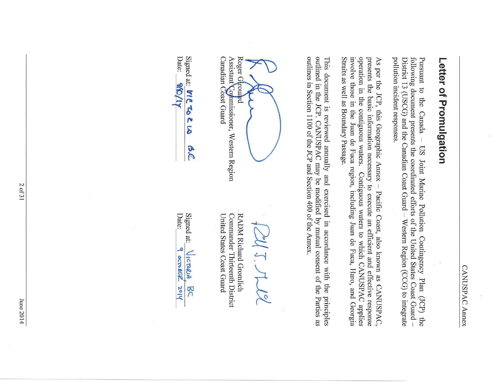# Letter of Promulgation

pollution incident responses. following document presents the coordinated efforts of the United States Coast Guard -District 13 (USCG) and the Canadian Coast Guard - Western Region (CCG) to integrate Pursuant to the Canada -US Joint Marine Pollution Contingency Plan (JCP) the

operation in the contiguous waters. Straits as well as Boundary Passage. involve those in the Juan de Fuca region, including Juan de Fuca, Haro, and Georgia presents the basic information necessary to execute an efficient and effective response As per the JCP, this Geographic Annex - Pacific Coast, also known as CANUSPAC, Contiguous waters to which CANUSPAC applies

outlined in the JCP. CANUSPAC may be modified by mutual consent of the Parties as outlines in Section 1100 of the JCP and Section 400 of the Annex. This document is reviewed annually and exercised in accordance with the principles

Roger Giroua  $\overline{a}$ 

Canadian Coast Guard Assistant Commissioner, Western Region

Signed at: VIC TO Z LA  $\mathcal{S}$ 

Date:

**OVA** 

United States Coast Guard Commander Thirteenth District RADM Richard Gromlich

|  |    | edle. |
|--|----|-------|
|  | ŗ. | Je    |

 $\overline{r}$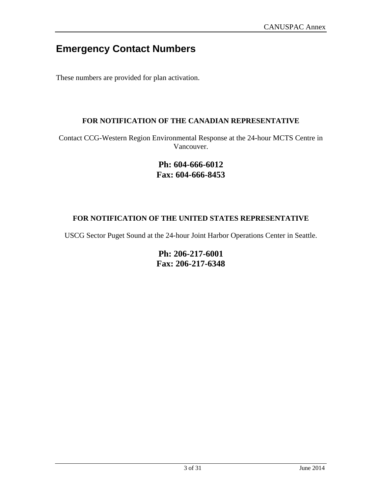## **Emergency Contact Numbers**

These numbers are provided for plan activation.

#### **FOR NOTIFICATION OF THE CANADIAN REPRESENTATIVE**

Contact CCG-Western Region Environmental Response at the 24-hour MCTS Centre in Vancouver.

#### **Ph: 604-666-6012 Fax: 604-666-8453**

#### **FOR NOTIFICATION OF THE UNITED STATES REPRESENTATIVE**

USCG Sector Puget Sound at the 24-hour Joint Harbor Operations Center in Seattle.

**Ph: 206-217-6001 Fax: 206-217-6348**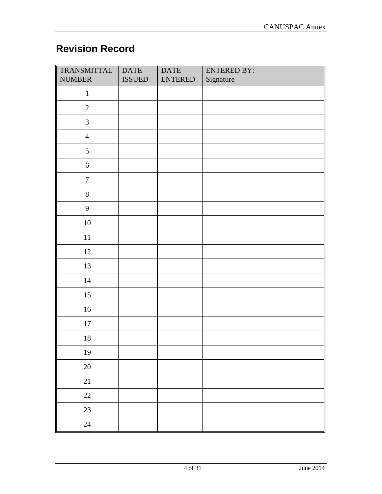## **Revision Record**

| TRANSMITTAL<br><b>NUMBER</b> | <b>DATE</b><br><b>ISSUED</b> | <b>DATE</b><br><b>ENTERED</b> | <b>ENTERED BY:</b><br>Signature |
|------------------------------|------------------------------|-------------------------------|---------------------------------|
| $\mathbf{1}$                 |                              |                               |                                 |
| $\sqrt{2}$                   |                              |                               |                                 |
| $\mathfrak{Z}$               |                              |                               |                                 |
| $\overline{4}$               |                              |                               |                                 |
| $5\overline{)}$              |                              |                               |                                 |
| $\boldsymbol{6}$             |                              |                               |                                 |
| $\boldsymbol{7}$             |                              |                               |                                 |
| $8\,$                        |                              |                               |                                 |
| 9                            |                              |                               |                                 |
| $10\,$                       |                              |                               |                                 |
| $11\,$                       |                              |                               |                                 |
| 12                           |                              |                               |                                 |
| 13                           |                              |                               |                                 |
| $14\,$                       |                              |                               |                                 |
| $15\,$                       |                              |                               |                                 |
| $16\,$                       |                              |                               |                                 |
| $17\,$                       |                              |                               |                                 |
| $18\,$                       |                              |                               |                                 |
| 19                           |                              |                               |                                 |
| $20\,$                       |                              |                               |                                 |
| $21\,$                       |                              |                               |                                 |
| $22\,$                       |                              |                               |                                 |
| 23                           |                              |                               |                                 |
| 24                           |                              |                               |                                 |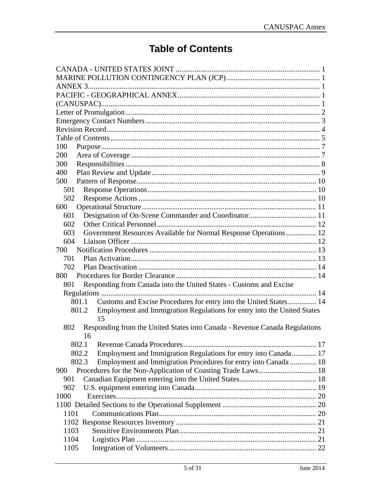## **Table of Contents**

| 100                                                                                    |  |
|----------------------------------------------------------------------------------------|--|
| 200                                                                                    |  |
| 300                                                                                    |  |
| 400                                                                                    |  |
| 500                                                                                    |  |
| 501                                                                                    |  |
| 502                                                                                    |  |
| 600                                                                                    |  |
| 601                                                                                    |  |
| 602                                                                                    |  |
| Government Resources Available for Normal Response Operations 12<br>603                |  |
| 604                                                                                    |  |
| 700                                                                                    |  |
| 701                                                                                    |  |
| 702                                                                                    |  |
| 800                                                                                    |  |
|                                                                                        |  |
| Responding from Canada into the United States - Customs and Excise<br>801              |  |
|                                                                                        |  |
| Customs and Excise Procedures for entry into the United States 14<br>801.1             |  |
| Employment and Immigration Regulations for entry into the United States<br>801.2<br>15 |  |
| Responding from the United States into Canada - Revenue Canada Regulations<br>802      |  |
| 16                                                                                     |  |
|                                                                                        |  |
| Employment and Immigration Regulations for entry into Canada 17<br>802.2               |  |
| 802.3<br>Employment and Immigration Procedures for entry into Canada 18                |  |
| 900                                                                                    |  |
| 901                                                                                    |  |
| 902                                                                                    |  |
| 1000                                                                                   |  |
|                                                                                        |  |
| 1101                                                                                   |  |
|                                                                                        |  |
|                                                                                        |  |
| 1103                                                                                   |  |
| 1104                                                                                   |  |
| 1105                                                                                   |  |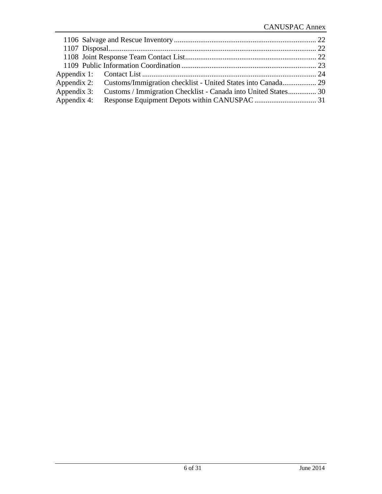|             | Appendix 3: Customs / Immigration Checklist - Canada into United States 30 |  |
|-------------|----------------------------------------------------------------------------|--|
| Appendix 4: |                                                                            |  |
|             |                                                                            |  |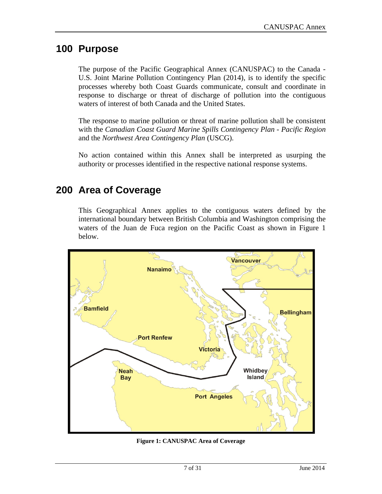## **100 Purpose**

The purpose of the Pacific Geographical Annex (CANUSPAC) to the Canada - U.S. Joint Marine Pollution Contingency Plan (2014), is to identify the specific processes whereby both Coast Guards communicate, consult and coordinate in response to discharge or threat of discharge of pollution into the contiguous waters of interest of both Canada and the United States.

The response to marine pollution or threat of marine pollution shall be consistent with the *Canadian Coast Guard Marine Spills Contingency Plan - Pacific Region* and the *Northwest Area Contingency Plan* (USCG).

No action contained within this Annex shall be interpreted as usurping the authority or processes identified in the respective national response systems.

## **200 Area of Coverage**

This Geographical Annex applies to the contiguous waters defined by the international boundary between British Columbia and Washington comprising the waters of the Juan de Fuca region on the Pacific Coast as shown in Figure 1 below.



**Figure 1: CANUSPAC Area of Coverage**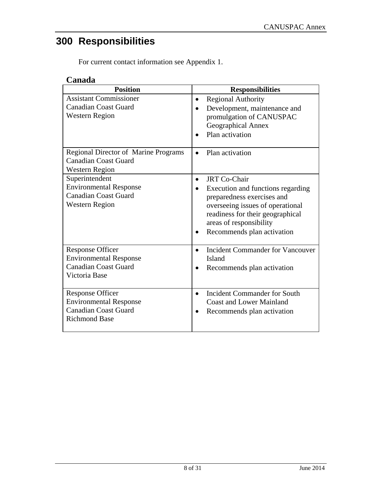## **300 Responsibilities**

For current contact information see Appendix 1.

## **Canada**

| <b>Position</b>                                                                                                 | <b>Responsibilities</b>                                                                                                                                                                                                              |
|-----------------------------------------------------------------------------------------------------------------|--------------------------------------------------------------------------------------------------------------------------------------------------------------------------------------------------------------------------------------|
| <b>Assistant Commissioner</b><br><b>Canadian Coast Guard</b><br><b>Western Region</b>                           | <b>Regional Authority</b><br>$\bullet$<br>Development, maintenance and<br>promulgation of CANUSPAC<br>Geographical Annex<br>Plan activation                                                                                          |
| <b>Regional Director of Marine Programs</b><br><b>Canadian Coast Guard</b><br><b>Western Region</b>             | Plan activation                                                                                                                                                                                                                      |
| Superintendent<br><b>Environmental Response</b><br><b>Canadian Coast Guard</b><br><b>Western Region</b>         | <b>JRT</b> Co-Chair<br>$\bullet$<br>Execution and functions regarding<br>preparedness exercises and<br>overseeing issues of operational<br>readiness for their geographical<br>areas of responsibility<br>Recommends plan activation |
| <b>Response Officer</b><br><b>Environmental Response</b><br><b>Canadian Coast Guard</b><br>Victoria Base        | <b>Incident Commander for Vancouver</b><br>$\bullet$<br>Island<br>Recommends plan activation                                                                                                                                         |
| <b>Response Officer</b><br><b>Environmental Response</b><br><b>Canadian Coast Guard</b><br><b>Richmond Base</b> | <b>Incident Commander for South</b><br><b>Coast and Lower Mainland</b><br>Recommends plan activation                                                                                                                                 |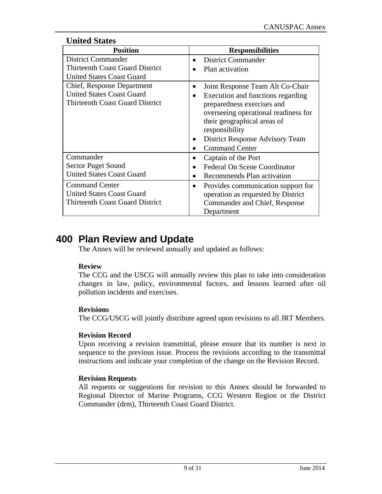#### **United States**

| <b>Position</b>                        | <b>Responsibilities</b>                             |
|----------------------------------------|-----------------------------------------------------|
| <b>District Commander</b>              | <b>District Commander</b>                           |
| <b>Thirteenth Coast Guard District</b> | Plan activation                                     |
| <b>United States Coast Guard</b>       |                                                     |
| Chief, Response Department             | Joint Response Team Alt Co-Chair                    |
| <b>United States Coast Guard</b>       | Execution and functions regarding<br>$\bullet$      |
| <b>Thirteenth Coast Guard District</b> | preparedness exercises and                          |
|                                        | overseeing operational readiness for                |
|                                        | their geographical areas of                         |
|                                        | responsibility                                      |
|                                        | <b>District Response Advisory Team</b><br>$\bullet$ |
|                                        | <b>Command Center</b><br>$\bullet$                  |
| Commander                              | Captain of the Port                                 |
| <b>Sector Puget Sound</b>              | <b>Federal On Scene Coordinator</b><br>٠            |
| <b>United States Coast Guard</b>       | Recommends Plan activation<br>$\bullet$             |
| <b>Command Center</b>                  | Provides communication support for<br>$\bullet$     |
| <b>United States Coast Guard</b>       | operation as requested by District                  |
| <b>Thirteenth Coast Guard District</b> | Commander and Chief, Response                       |
|                                        | Department                                          |

## **400 Plan Review and Update**

The Annex will be reviewed annually and updated as follows:

#### **Review**

The CCG and the USCG will annually review this plan to take into consideration changes in law, policy, environmental factors, and lessons learned after oil pollution incidents and exercises.

#### **Revisions**

The CCG/USCG will jointly distribute agreed upon revisions to all JRT Members.

#### **Revision Record**

Upon receiving a revision transmittal, please ensure that its number is next in sequence to the previous issue. Process the revisions according to the transmittal instructions and indicate your completion of the change on the Revision Record.

#### **Revision Requests**

All requests or suggestions for revision to this Annex should be forwarded to Regional Director of Marine Programs, CCG Western Region or the District Commander (drm), Thirteenth Coast Guard District.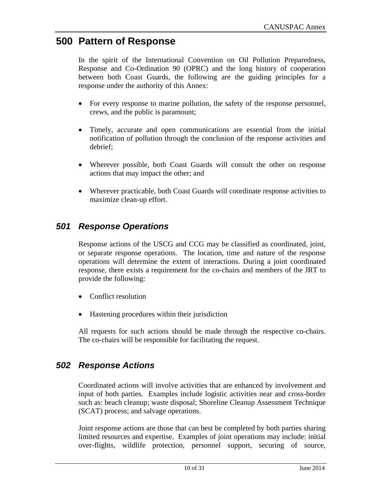## **500 Pattern of Response**

In the spirit of the International Convention on Oil Pollution Preparedness, Response and Co-Ordination 90 (OPRC) and the long history of cooperation between both Coast Guards, the following are the guiding principles for a response under the authority of this Annex:

- For every response to marine pollution, the safety of the response personnel, crews, and the public is paramount;
- Timely, accurate and open communications are essential from the initial notification of pollution through the conclusion of the response activities and debrief;
- Wherever possible, both Coast Guards will consult the other on response actions that may impact the other; and
- Wherever practicable, both Coast Guards will coordinate response activities to maximize clean-up effort.

## *501 Response Operations*

Response actions of the USCG and CCG may be classified as coordinated, joint, or separate response operations. The location, time and nature of the response operations will determine the extent of interactions. During a joint coordinated response, there exists a requirement for the co-chairs and members of the JRT to provide the following:

- Conflict resolution
- Hastening procedures within their jurisdiction

All requests for such actions should be made through the respective co-chairs. The co-chairs will be responsible for facilitating the request.

## *502 Response Actions*

Coordinated actions will involve activities that are enhanced by involvement and input of both parties. Examples include logistic activities near and cross-border such as: beach cleanup; waste disposal; Shoreline Cleanup Assessment Technique (SCAT) process; and salvage operations.

Joint response actions are those that can best be completed by both parties sharing limited resources and expertise. Examples of joint operations may include: initial over-flights, wildlife protection, personnel support, securing of source,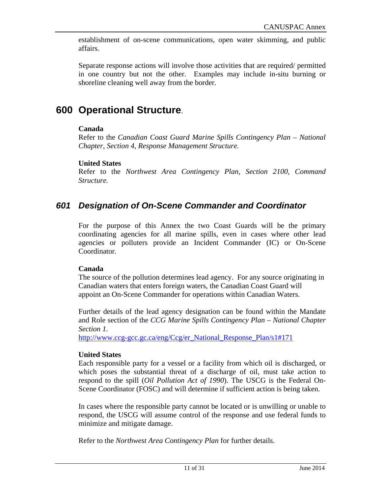establishment of on-scene communications, open water skimming, and public affairs.

Separate response actions will involve those activities that are required/ permitted in one country but not the other. Examples may include in-situ burning or shoreline cleaning well away from the border.

## **600 Operational Structure**.

#### **Canada**

Refer to the *Canadian Coast Guard Marine Spills Contingency Plan – National Chapter, Section 4, Response Management Structure.*

#### **United States**

Refer to the *Northwest Area Contingency Plan, Section 2100, Command Structure.*

## *601 Designation of On-Scene Commander and Coordinator*

For the purpose of this Annex the two Coast Guards will be the primary coordinating agencies for all marine spills, even in cases where other lead agencies or polluters provide an Incident Commander (IC) or On-Scene Coordinator.

#### **Canada**

The source of the pollution determines lead agency. For any source originating in Canadian waters that enters foreign waters, the Canadian Coast Guard will appoint an On-Scene Commander for operations within Canadian Waters.

Further details of the lead agency designation can be found within the Mandate and Role section of the *CCG Marine Spills Contingency Plan – National Chapter Section 1.* 

http://www.ccg-gcc.gc.ca/eng/Ccg/er\_National\_Response\_Plan/s1#171

#### **United States**

Each responsible party for a vessel or a facility from which oil is discharged, or which poses the substantial threat of a discharge of oil, must take action to respond to the spill (*Oil Pollution Act of 1990*). The USCG is the Federal On-Scene Coordinator (FOSC) and will determine if sufficient action is being taken.

In cases where the responsible party cannot be located or is unwilling or unable to respond, the USCG will assume control of the response and use federal funds to minimize and mitigate damage.

Refer to the *Northwest Area Contingency Plan* for further details.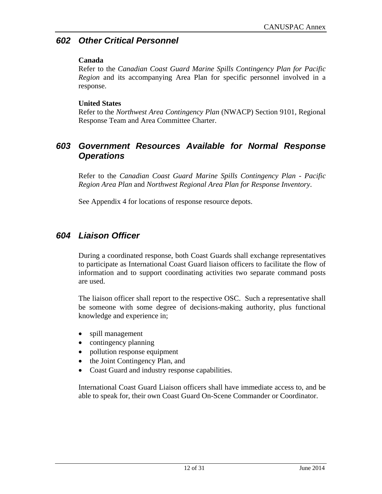#### *602 Other Critical Personnel*

#### **Canada**

Refer to the *Canadian Coast Guard Marine Spills Contingency Plan for Pacific Region* and its accompanying Area Plan for specific personnel involved in a response.

#### **United States**

Refer to the *Northwest Area Contingency Plan* (NWACP) Section 9101, Regional Response Team and Area Committee Charter.

## *603 Government Resources Available for Normal Response Operations*

Refer to the *Canadian Coast Guard Marine Spills Contingency Plan - Pacific Region Area Plan* and *Northwest Regional Area Plan for Response Inventory*.

See Appendix 4 for locations of response resource depots.

## *604 Liaison Officer*

During a coordinated response, both Coast Guards shall exchange representatives to participate as International Coast Guard liaison officers to facilitate the flow of information and to support coordinating activities two separate command posts are used.

The liaison officer shall report to the respective OSC. Such a representative shall be someone with some degree of decisions-making authority, plus functional knowledge and experience in;

- spill management
- contingency planning
- pollution response equipment
- the Joint Contingency Plan, and
- Coast Guard and industry response capabilities.

International Coast Guard Liaison officers shall have immediate access to, and be able to speak for, their own Coast Guard On-Scene Commander or Coordinator.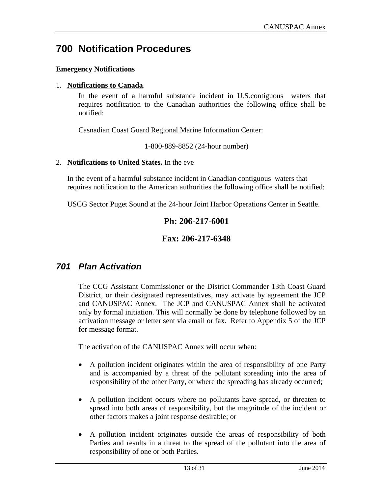## **700 Notification Procedures**

#### **Emergency Notifications**

#### 1. **Notifications to Canada**.

In the event of a harmful substance incident in U.S.contiguous waters that requires notification to the Canadian authorities the following office shall be notified:

Casnadian Coast Guard Regional Marine Information Center:

1-800-889-8852 (24-hour number)

#### 2. **Notifications to United States.** In the eve

In the event of a harmful substance incident in Canadian contiguous waters that requires notification to the American authorities the following office shall be notified:

USCG Sector Puget Sound at the 24-hour Joint Harbor Operations Center in Seattle.

#### **Ph: 206-217-6001**

#### **Fax: 206-217-6348**

#### *701 Plan Activation*

The CCG Assistant Commissioner or the District Commander 13th Coast Guard District, or their designated representatives, may activate by agreement the JCP and CANUSPAC Annex. The JCP and CANUSPAC Annex shall be activated only by formal initiation. This will normally be done by telephone followed by an activation message or letter sent via email or fax. Refer to Appendix 5 of the JCP for message format.

The activation of the CANUSPAC Annex will occur when:

- A pollution incident originates within the area of responsibility of one Party and is accompanied by a threat of the pollutant spreading into the area of responsibility of the other Party, or where the spreading has already occurred;
- A pollution incident occurs where no pollutants have spread, or threaten to spread into both areas of responsibility, but the magnitude of the incident or other factors makes a joint response desirable; or
- A pollution incident originates outside the areas of responsibility of both Parties and results in a threat to the spread of the pollutant into the area of responsibility of one or both Parties.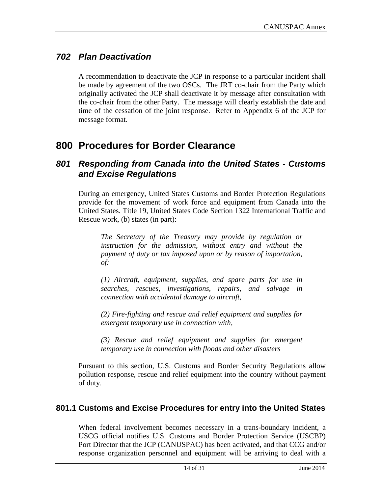## *702 Plan Deactivation*

A recommendation to deactivate the JCP in response to a particular incident shall be made by agreement of the two OSCs. The JRT co-chair from the Party which originally activated the JCP shall deactivate it by message after consultation with the co-chair from the other Party. The message will clearly establish the date and time of the cessation of the joint response. Refer to Appendix 6 of the JCP for message format.

## **800 Procedures for Border Clearance**

#### *801 Responding from Canada into the United States - Customs and Excise Regulations*

During an emergency, United States Customs and Border Protection Regulations provide for the movement of work force and equipment from Canada into the United States. Title 19, United States Code Section 1322 International Traffic and Rescue work, (b) states (in part):

*The Secretary of the Treasury may provide by regulation or instruction for the admission, without entry and without the payment of duty or tax imposed upon or by reason of importation, of:* 

*(1) Aircraft, equipment, supplies, and spare parts for use in searches, rescues, investigations, repairs, and salvage in connection with accidental damage to aircraft,* 

*(2) Fire-fighting and rescue and relief equipment and supplies for emergent temporary use in connection with,* 

*(3) Rescue and relief equipment and supplies for emergent temporary use in connection with floods and other disasters* 

Pursuant to this section, U.S. Customs and Border Security Regulations allow pollution response, rescue and relief equipment into the country without payment of duty.

#### **801.1 Customs and Excise Procedures for entry into the United States**

When federal involvement becomes necessary in a trans-boundary incident, a USCG official notifies U.S. Customs and Border Protection Service (USCBP) Port Director that the JCP (CANUSPAC) has been activated, and that CCG and/or response organization personnel and equipment will be arriving to deal with a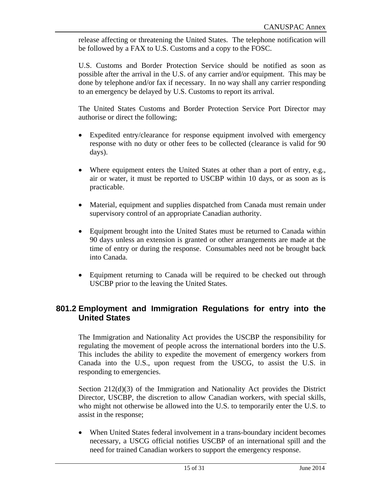release affecting or threatening the United States. The telephone notification will be followed by a FAX to U.S. Customs and a copy to the FOSC.

U.S. Customs and Border Protection Service should be notified as soon as possible after the arrival in the U.S. of any carrier and/or equipment. This may be done by telephone and/or fax if necessary. In no way shall any carrier responding to an emergency be delayed by U.S. Customs to report its arrival.

The United States Customs and Border Protection Service Port Director may authorise or direct the following;

- Expedited entry/clearance for response equipment involved with emergency response with no duty or other fees to be collected (clearance is valid for 90 days).
- Where equipment enters the United States at other than a port of entry, e.g., air or water, it must be reported to USCBP within 10 days, or as soon as is practicable.
- Material, equipment and supplies dispatched from Canada must remain under supervisory control of an appropriate Canadian authority.
- Equipment brought into the United States must be returned to Canada within 90 days unless an extension is granted or other arrangements are made at the time of entry or during the response. Consumables need not be brought back into Canada.
- Equipment returning to Canada will be required to be checked out through USCBP prior to the leaving the United States.

#### **801.2 Employment and Immigration Regulations for entry into the United States**

The Immigration and Nationality Act provides the USCBP the responsibility for regulating the movement of people across the international borders into the U.S. This includes the ability to expedite the movement of emergency workers from Canada into the U.S., upon request from the USCG, to assist the U.S. in responding to emergencies.

Section 212(d)(3) of the Immigration and Nationality Act provides the District Director, USCBP, the discretion to allow Canadian workers, with special skills, who might not otherwise be allowed into the U.S. to temporarily enter the U.S. to assist in the response;

 When United States federal involvement in a trans-boundary incident becomes necessary, a USCG official notifies USCBP of an international spill and the need for trained Canadian workers to support the emergency response.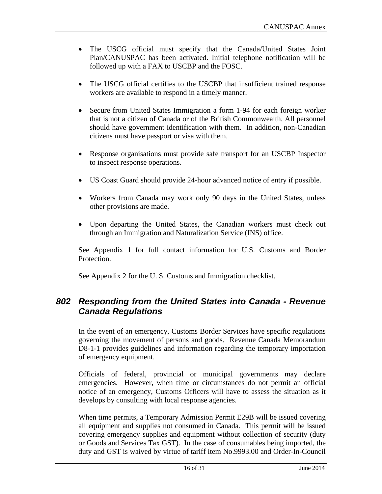- The USCG official must specify that the Canada/United States Joint Plan/CANUSPAC has been activated. Initial telephone notification will be followed up with a FAX to USCBP and the FOSC.
- The USCG official certifies to the USCBP that insufficient trained response workers are available to respond in a timely manner.
- Secure from United States Immigration a form 1-94 for each foreign worker that is not a citizen of Canada or of the British Commonwealth. All personnel should have government identification with them. In addition, non-Canadian citizens must have passport or visa with them.
- Response organisations must provide safe transport for an USCBP Inspector to inspect response operations.
- US Coast Guard should provide 24-hour advanced notice of entry if possible.
- Workers from Canada may work only 90 days in the United States, unless other provisions are made.
- Upon departing the United States, the Canadian workers must check out through an Immigration and Naturalization Service (INS) office.

See Appendix 1 for full contact information for U.S. Customs and Border Protection.

See Appendix 2 for the U. S. Customs and Immigration checklist.

#### *802 Responding from the United States into Canada - Revenue Canada Regulations*

In the event of an emergency, Customs Border Services have specific regulations governing the movement of persons and goods. Revenue Canada Memorandum D8-1-1 provides guidelines and information regarding the temporary importation of emergency equipment.

Officials of federal, provincial or municipal governments may declare emergencies. However, when time or circumstances do not permit an official notice of an emergency, Customs Officers will have to assess the situation as it develops by consulting with local response agencies.

When time permits, a Temporary Admission Permit E29B will be issued covering all equipment and supplies not consumed in Canada. This permit will be issued covering emergency supplies and equipment without collection of security (duty or Goods and Services Tax GST). In the case of consumables being imported, the duty and GST is waived by virtue of tariff item No.9993.00 and Order-In-Council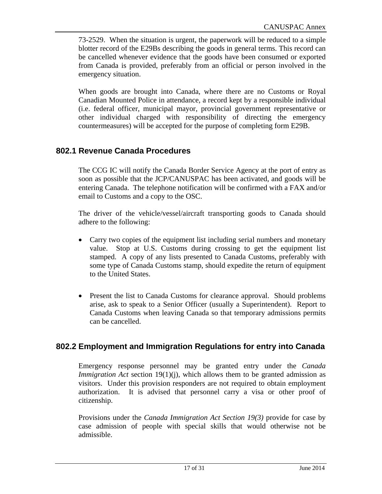73-2529. When the situation is urgent, the paperwork will be reduced to a simple blotter record of the E29Bs describing the goods in general terms. This record can be cancelled whenever evidence that the goods have been consumed or exported from Canada is provided, preferably from an official or person involved in the emergency situation.

When goods are brought into Canada, where there are no Customs or Royal Canadian Mounted Police in attendance, a record kept by a responsible individual (i.e. federal officer, municipal mayor, provincial government representative or other individual charged with responsibility of directing the emergency countermeasures) will be accepted for the purpose of completing form E29B.

#### **802.1 Revenue Canada Procedures**

The CCG IC will notify the Canada Border Service Agency at the port of entry as soon as possible that the JCP/CANUSPAC has been activated, and goods will be entering Canada. The telephone notification will be confirmed with a FAX and/or email to Customs and a copy to the OSC.

The driver of the vehicle/vessel/aircraft transporting goods to Canada should adhere to the following:

- Carry two copies of the equipment list including serial numbers and monetary value. Stop at U.S. Customs during crossing to get the equipment list stamped. A copy of any lists presented to Canada Customs, preferably with some type of Canada Customs stamp, should expedite the return of equipment to the United States.
- Present the list to Canada Customs for clearance approval. Should problems arise, ask to speak to a Senior Officer (usually a Superintendent). Report to Canada Customs when leaving Canada so that temporary admissions permits can be cancelled.

#### **802.2 Employment and Immigration Regulations for entry into Canada**

Emergency response personnel may be granted entry under the *Canada Immigration Act* section 19(1)(j), which allows them to be granted admission as visitors. Under this provision responders are not required to obtain employment authorization. It is advised that personnel carry a visa or other proof of citizenship.

Provisions under the *Canada Immigration Act Section 19(3)* provide for case by case admission of people with special skills that would otherwise not be admissible.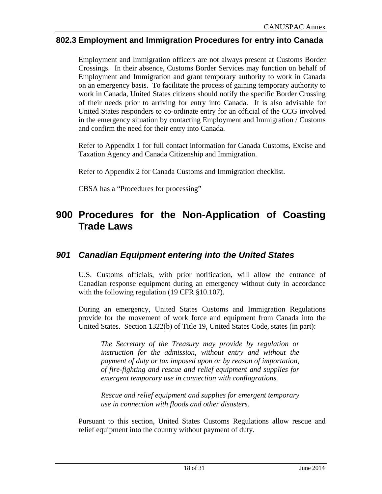#### **802.3 Employment and Immigration Procedures for entry into Canada**

Employment and Immigration officers are not always present at Customs Border Crossings. In their absence, Customs Border Services may function on behalf of Employment and Immigration and grant temporary authority to work in Canada on an emergency basis. To facilitate the process of gaining temporary authority to work in Canada, United States citizens should notify the specific Border Crossing of their needs prior to arriving for entry into Canada. It is also advisable for United States responders to co-ordinate entry for an official of the CCG involved in the emergency situation by contacting Employment and Immigration / Customs and confirm the need for their entry into Canada.

Refer to Appendix 1 for full contact information for Canada Customs, Excise and Taxation Agency and Canada Citizenship and Immigration.

Refer to Appendix 2 for Canada Customs and Immigration checklist.

CBSA has a "Procedures for processing"

## **900 Procedures for the Non-Application of Coasting Trade Laws**

#### *901 Canadian Equipment entering into the United States*

U.S. Customs officials, with prior notification, will allow the entrance of Canadian response equipment during an emergency without duty in accordance with the following regulation (19 CFR §10.107).

During an emergency, United States Customs and Immigration Regulations provide for the movement of work force and equipment from Canada into the United States. Section 1322(b) of Title 19, United States Code, states (in part):

*The Secretary of the Treasury may provide by regulation or instruction for the admission, without entry and without the payment of duty or tax imposed upon or by reason of importation, of fire-fighting and rescue and relief equipment and supplies for emergent temporary use in connection with conflagrations.* 

*Rescue and relief equipment and supplies for emergent temporary use in connection with floods and other disasters.*

Pursuant to this section, United States Customs Regulations allow rescue and relief equipment into the country without payment of duty.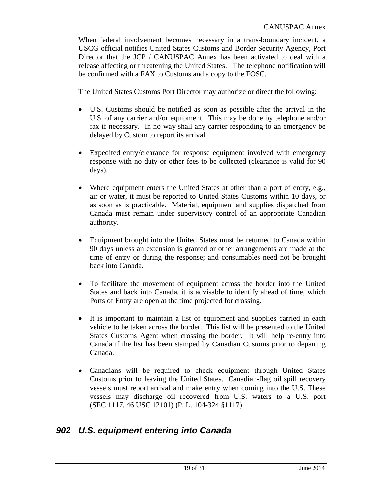When federal involvement becomes necessary in a trans-boundary incident, a USCG official notifies United States Customs and Border Security Agency, Port Director that the JCP / CANUSPAC Annex has been activated to deal with a release affecting or threatening the United States. The telephone notification will be confirmed with a FAX to Customs and a copy to the FOSC.

The United States Customs Port Director may authorize or direct the following:

- U.S. Customs should be notified as soon as possible after the arrival in the U.S. of any carrier and/or equipment. This may be done by telephone and/or fax if necessary. In no way shall any carrier responding to an emergency be delayed by Custom to report its arrival.
- Expedited entry/clearance for response equipment involved with emergency response with no duty or other fees to be collected (clearance is valid for 90 days).
- Where equipment enters the United States at other than a port of entry, e.g., air or water, it must be reported to United States Customs within 10 days, or as soon as is practicable. Material, equipment and supplies dispatched from Canada must remain under supervisory control of an appropriate Canadian authority.
- Equipment brought into the United States must be returned to Canada within 90 days unless an extension is granted or other arrangements are made at the time of entry or during the response; and consumables need not be brought back into Canada.
- To facilitate the movement of equipment across the border into the United States and back into Canada, it is advisable to identify ahead of time, which Ports of Entry are open at the time projected for crossing.
- It is important to maintain a list of equipment and supplies carried in each vehicle to be taken across the border. This list will be presented to the United States Customs Agent when crossing the border. It will help re-entry into Canada if the list has been stamped by Canadian Customs prior to departing Canada.
- Canadians will be required to check equipment through United States Customs prior to leaving the United States. Canadian-flag oil spill recovery vessels must report arrival and make entry when coming into the U.S. These vessels may discharge oil recovered from U.S. waters to a U.S. port (SEC.1117. 46 USC 12101) (P. L. 104-324 §1117).

#### *902 U.S. equipment entering into Canada*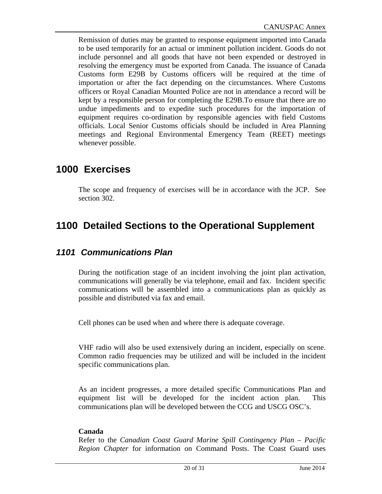Remission of duties may be granted to response equipment imported into Canada to be used temporarily for an actual or imminent pollution incident. Goods do not include personnel and all goods that have not been expended or destroyed in resolving the emergency must be exported from Canada. The issuance of Canada Customs form E29B by Customs officers will be required at the time of importation or after the fact depending on the circumstances. Where Customs officers or Royal Canadian Mounted Police are not in attendance a record will be kept by a responsible person for completing the E29B.To ensure that there are no undue impediments and to expedite such procedures for the importation of equipment requires co-ordination by responsible agencies with field Customs officials. Local Senior Customs officials should be included in Area Planning meetings and Regional Environmental Emergency Team (REET) meetings whenever possible.

## **1000 Exercises**

The scope and frequency of exercises will be in accordance with the JCP. See section 302.

## **1100 Detailed Sections to the Operational Supplement**

#### *1101 Communications Plan*

During the notification stage of an incident involving the joint plan activation, communications will generally be via telephone, email and fax. Incident specific communications will be assembled into a communications plan as quickly as possible and distributed via fax and email.

Cell phones can be used when and where there is adequate coverage.

VHF radio will also be used extensively during an incident, especially on scene. Common radio frequencies may be utilized and will be included in the incident specific communications plan.

As an incident progresses, a more detailed specific Communications Plan and equipment list will be developed for the incident action plan. This communications plan will be developed between the CCG and USCG OSC's.

#### **Canada**

Refer to the *Canadian Coast Guard Marine Spill Contingency Plan – Pacific Region Chapter* for information on Command Posts. The Coast Guard uses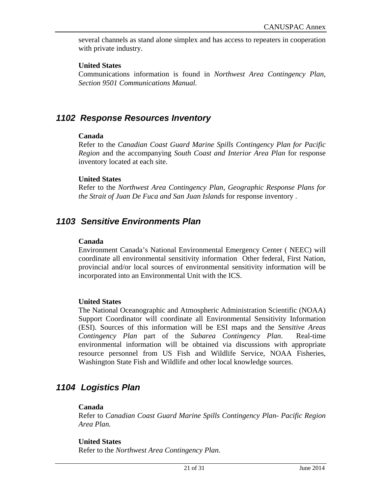several channels as stand alone simplex and has access to repeaters in cooperation with private industry.

#### **United States**

Communications information is found in *Northwest Area Contingency Plan, Section 9501 Communications Manual.* 

#### *1102 Response Resources Inventory*

#### **Canada**

Refer to the *Canadian Coast Guard Marine Spills Contingency Plan for Pacific Region* and the accompanying *South Coast and Interior Area Plan* for response inventory located at each site.

#### **United States**

Refer to the *Northwest Area Contingency Plan, Geographic Response Plans for the Strait of Juan De Fuca and San Juan Islands* for response inventory .

#### *1103 Sensitive Environments Plan*

#### **Canada**

Environment Canada's National Environmental Emergency Center ( NEEC) will coordinate all environmental sensitivity information Other federal, First Nation, provincial and/or local sources of environmental sensitivity information will be incorporated into an Environmental Unit with the ICS.

#### **United States**

The National Oceanographic and Atmospheric Administration Scientific (NOAA) Support Coordinator will coordinate all Environmental Sensitivity Information (ESI). Sources of this information will be ESI maps and the *Sensitive Areas Contingency Plan* part of the *Subarea Contingency Plan*. Real-time environmental information will be obtained via discussions with appropriate resource personnel from US Fish and Wildlife Service, NOAA Fisheries, Washington State Fish and Wildlife and other local knowledge sources.

#### *1104 Logistics Plan*

#### **Canada**

Refer to *Canadian Coast Guard Marine Spills Contingency Plan- Pacific Region Area Plan.* 

#### **United States**

Refer to the *Northwest Area Contingency Plan*.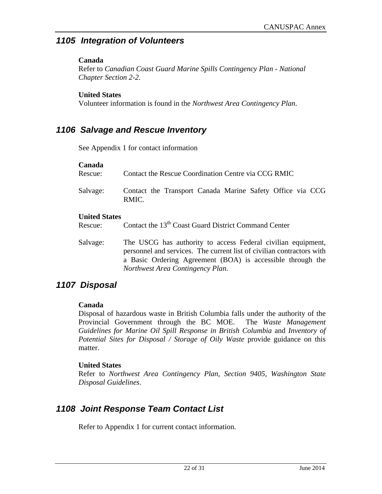#### *1105 Integration of Volunteers*

#### **Canada**

Refer to *Canadian Coast Guard Marine Spills Contingency Plan - National Chapter Section 2-2.* 

#### **United States**

Volunteer information is found in the *Northwest Area Contingency Plan*.

## *1106 Salvage and Rescue Inventory*

See Appendix 1 for contact information

#### **Canada**

| Rescue:  | Contact the Rescue Coordination Centre via CCG RMIC                |
|----------|--------------------------------------------------------------------|
| Salvage: | Contact the Transport Canada Marine Safety Office via CCG<br>RMIC. |

#### **United States**

Rescue: Contact the 13<sup>th</sup> Coast Guard District Command Center

Salvage: The USCG has authority to access Federal civilian equipment, personnel and services. The current list of civilian contractors with a Basic Ordering Agreement (BOA) is accessible through the *Northwest Area Contingency Plan*.

## *1107 Disposal*

#### **Canada**

Disposal of hazardous waste in British Columbia falls under the authority of the Provincial Government through the BC MOE. The *Waste Management Guidelines for Marine Oil Spill Response in British Columbia* and *Inventory of Potential Sites for Disposal / Storage of Oily Waste* provide guidance on this matter.

#### **United States**

Refer to *Northwest Area Contingency Plan, Section 9405, Washington State Disposal Guidelines*.

## *1108 Joint Response Team Contact List*

Refer to Appendix 1 for current contact information.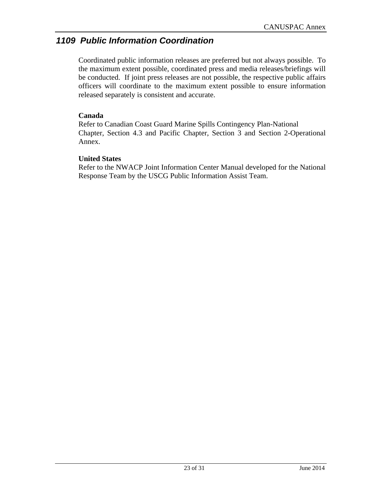## *1109 Public Information Coordination*

Coordinated public information releases are preferred but not always possible. To the maximum extent possible, coordinated press and media releases/briefings will be conducted. If joint press releases are not possible, the respective public affairs officers will coordinate to the maximum extent possible to ensure information released separately is consistent and accurate.

#### **Canada**

Refer to Canadian Coast Guard Marine Spills Contingency Plan-National Chapter, Section 4.3 and Pacific Chapter, Section 3 and Section 2-Operational Annex.

#### **United States**

Refer to the NWACP Joint Information Center Manual developed for the National Response Team by the USCG Public Information Assist Team.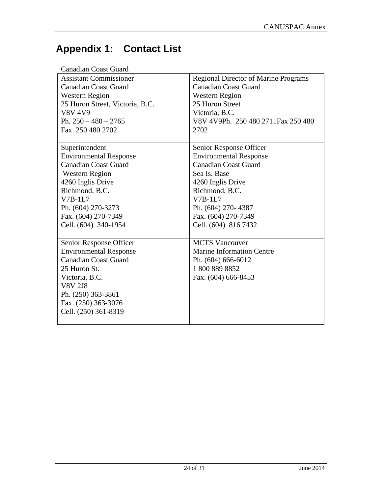# **Appendix 1: Contact List**

| <b>Canadian Coast Guard</b>     |                                             |
|---------------------------------|---------------------------------------------|
| <b>Assistant Commissioner</b>   | <b>Regional Director of Marine Programs</b> |
| <b>Canadian Coast Guard</b>     | <b>Canadian Coast Guard</b>                 |
| <b>Western Region</b>           | <b>Western Region</b>                       |
| 25 Huron Street, Victoria, B.C. | 25 Huron Street                             |
| <b>V8V 4V9</b>                  | Victoria, B.C.                              |
| Ph. $250 - 480 - 2765$          | V8V 4V9Ph. 250 480 2711 Fax 250 480         |
| Fax. 250 480 2702               | 2702                                        |
|                                 |                                             |
| Superintendent                  | Senior Response Officer                     |
| <b>Environmental Response</b>   | <b>Environmental Response</b>               |
| <b>Canadian Coast Guard</b>     | <b>Canadian Coast Guard</b>                 |
| <b>Western Region</b>           | Sea Is. Base                                |
| 4260 Inglis Drive               | 4260 Inglis Drive                           |
| Richmond, B.C.                  | Richmond, B.C.                              |
| $V7B-1L7$                       | $V7B-1L7$                                   |
| Ph. (604) 270-3273              | Ph. (604) 270-4387                          |
| Fax. (604) 270-7349             | Fax. (604) 270-7349                         |
| Cell. (604) 340-1954            | Cell. (604) 816 7432                        |
|                                 |                                             |
| Senior Response Officer         | <b>MCTS</b> Vancouver                       |
| <b>Environmental Response</b>   | <b>Marine Information Centre</b>            |
| <b>Canadian Coast Guard</b>     | Ph. (604) 666-6012                          |
| 25 Huron St.                    | 18008898852                                 |
| Victoria, B.C.                  | Fax. (604) 666-8453                         |
| <b>V8V 2J8</b>                  |                                             |
| Ph. (250) 363-3861              |                                             |
| Fax. (250) 363-3076             |                                             |
| Cell. (250) 361-8319            |                                             |
|                                 |                                             |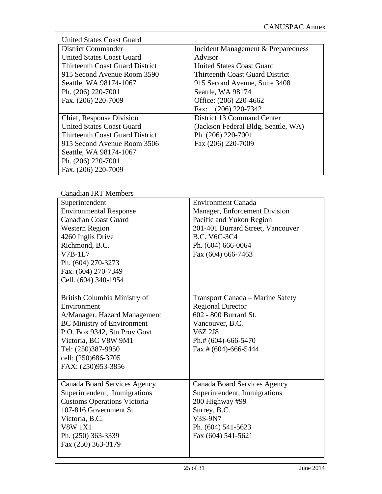| <b>United States Coast Guard</b>       |                                        |
|----------------------------------------|----------------------------------------|
| <b>District Commander</b>              | Incident Management & Preparedness     |
| <b>United States Coast Guard</b>       | Advisor                                |
| <b>Thirteenth Coast Guard District</b> | United States Coast Guard              |
| 915 Second Avenue Room 3590            | <b>Thirteenth Coast Guard District</b> |
| Seattle, WA 98174-1067                 | 915 Second Avenue, Suite 3408          |
| Ph. (206) 220-7001                     | Seattle, WA 98174                      |
| Fax. (206) 220-7009                    | Office: (206) 220-4662                 |
|                                        | Fax: (206) 220-7342                    |
| Chief, Response Division               | District 13 Command Center             |
| <b>United States Coast Guard</b>       | (Jackson Federal Bldg, Seattle, WA)    |
| <b>Thirteenth Coast Guard District</b> | Ph. (206) 220-7001                     |
| 915 Second Avenue Room 3506            | Fax (206) 220-7009                     |
| Seattle, WA 98174-1067                 |                                        |
| Ph. (206) 220-7001                     |                                        |
| Fax. (206) 220-7009                    |                                        |

| Canadian JRT Members               |                                     |
|------------------------------------|-------------------------------------|
| Superintendent                     | <b>Environment Canada</b>           |
| <b>Environmental Response</b>      | Manager, Enforcement Division       |
| <b>Canadian Coast Guard</b>        | Pacific and Yukon Region            |
| <b>Western Region</b>              | 201-401 Burrard Street, Vancouver   |
| 4260 Inglis Drive                  | <b>B.C. V6C-3C4</b>                 |
| Richmond, B.C.                     | Ph. (604) 666-0064                  |
| $V7B-1L7$                          | Fax (604) 666-7463                  |
| Ph. (604) 270-3273                 |                                     |
| Fax. (604) 270-7349                |                                     |
| Cell. (604) 340-1954               |                                     |
|                                    |                                     |
| British Columbia Ministry of       | Transport Canada - Marine Safety    |
| Environment                        | <b>Regional Director</b>            |
| A/Manager, Hazard Management       | 602 - 800 Burrard St.               |
| <b>BC Ministry of Environment</b>  | Vancouver, B.C.                     |
| P.O. Box 9342, Stn Prov Govt       | V6Z 2J8                             |
| Victoria, BC V8W 9M1               | Ph.# $(604)$ -666-5470              |
| Tel: (250)387-9950                 | Fax # $(604)$ -666-5444             |
| cell: (250)686-3705                |                                     |
| FAX: (250)953-3856                 |                                     |
|                                    |                                     |
| Canada Board Services Agency       | <b>Canada Board Services Agency</b> |
| Superintendent, Immigrations       | Superintendent, Immigrations        |
| <b>Customs Operations Victoria</b> | 200 Highway #99                     |
| 107-816 Government St.             | Surrey, B.C.                        |
| Victoria, B.C.                     | V3S-9N7                             |
| <b>V8W 1X1</b>                     | Ph. (604) 541-5623                  |
| Ph. (250) 363-3339                 | Fax (604) 541-5621                  |
| Fax (250) 363-3179                 |                                     |
|                                    |                                     |

dian JDT Maml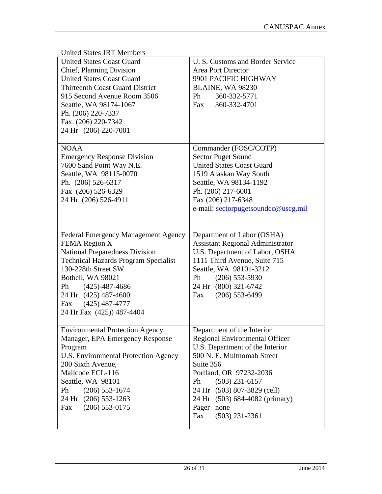| <b>United States JRT Members</b>            |                                         |
|---------------------------------------------|-----------------------------------------|
| <b>United States Coast Guard</b>            | U. S. Customs and Border Service        |
| Chief, Planning Division                    | Area Port Director                      |
| <b>United States Coast Guard</b>            | 9901 PACIFIC HIGHWAY                    |
| <b>Thirteenth Coast Guard District</b>      | <b>BLAINE, WA 98230</b>                 |
| 915 Second Avenue Room 3506                 | Ph<br>360-332-5771                      |
| Seattle, WA 98174-1067                      | 360-332-4701<br>Fax                     |
| Ph. (206) 220-7337                          |                                         |
| Fax. (206) 220-7342                         |                                         |
| 24 Hr (206) 220-7001                        |                                         |
|                                             |                                         |
| <b>NOAA</b>                                 | Commander (FOSC/COTP)                   |
| <b>Emergency Response Division</b>          | <b>Sector Puget Sound</b>               |
| 7600 Sand Point Way N.E.                    | <b>United States Coast Guard</b>        |
| Seattle, WA 98115-0070                      | 1519 Alaskan Way South                  |
| Ph. (206) 526-6317                          | Seattle, WA 98134-1192                  |
| Fax (206) 526-6329                          | Ph. (206) 217-6001                      |
| 24 Hr (206) 526-4911                        | Fax (206) 217-6348                      |
|                                             | e-mail: sectorpugetsoundcc@uscg.mil     |
|                                             |                                         |
|                                             |                                         |
| <b>Federal Emergency Management Agency</b>  | Department of Labor (OSHA)              |
| FEMA Region X                               | <b>Assistant Regional Administrator</b> |
| <b>National Preparedness Division</b>       | U.S. Department of Labor, OSHA          |
| <b>Technical Hazards Program Specialist</b> | 1111 Third Avenue, Suite 715            |
| 130-228th Street SW                         | Seattle, WA 98101-3212                  |
| Bothell, WA 98021                           | Ph<br>$(206)$ 553-5930                  |
| Ph (425)-487-4686                           | 24 Hr (800) 321-6742                    |
| 24 Hr (425) 487-4600                        | $(206)$ 553-6499<br>Fax                 |
| $(425)$ 487-4777<br>Fax                     |                                         |
| 24 Hr Fax (425)) 487-4404                   |                                         |
|                                             |                                         |
|                                             |                                         |
| <b>Environmental Protection Agency</b>      | Department of the Interior              |
| Manager, EPA Emergency Response             | Regional Environmental Officer          |
| Program                                     | U.S. Department of the Interior         |
| U.S. Environmental Protection Agency        | 500 N. E. Multnomah Street              |
| 200 Sixth Avenue,                           | Suite 356                               |
| Mailcode ECL-116                            | Portland, OR 97232-2036                 |
| Seattle, WA 98101                           | $(503)$ 231-6157<br>Ph                  |
| Ph<br>$(206)$ 553-1674                      | 24 Hr (503) 807-3829 (cell)             |
| 24 Hr (206) 553-1263                        | 24 Hr (503) 684-4082 (primary)          |
| $(206)$ 553-0175<br>Fax                     | Pager<br>none                           |
|                                             | Fax<br>$(503)$ 231-2361                 |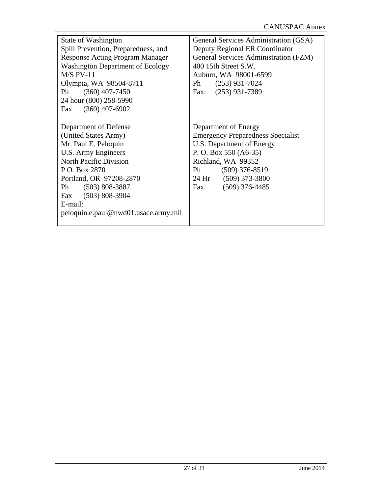| State of Washington<br>Spill Prevention, Preparedness, and<br><b>Response Acting Program Manager</b><br><b>Washington Department of Ecology</b><br>$M/S$ PV-11<br>Olympia, WA 98504-8711<br>$(360)$ 407-7450<br>Ph<br>24 hour (800) 258-5990<br>Fax (360) 407-6902 | General Services Administration (GSA)<br>Deputy Regional ER Coordinator<br><b>General Services Administration (FZM)</b><br>400 15th Street S.W.<br>Auburn, WA 98001-6599<br>$(253)$ 931-7024<br>Ph<br>Fax: (253) 931-7389 |
|--------------------------------------------------------------------------------------------------------------------------------------------------------------------------------------------------------------------------------------------------------------------|---------------------------------------------------------------------------------------------------------------------------------------------------------------------------------------------------------------------------|
|                                                                                                                                                                                                                                                                    |                                                                                                                                                                                                                           |
| Department of Defense                                                                                                                                                                                                                                              | Department of Energy                                                                                                                                                                                                      |
| (United States Army)                                                                                                                                                                                                                                               | <b>Emergency Preparedness Specialist</b>                                                                                                                                                                                  |
| Mr. Paul E. Peloquin                                                                                                                                                                                                                                               | U.S. Department of Energy                                                                                                                                                                                                 |
| U.S. Army Engineers                                                                                                                                                                                                                                                | P. O. Box 550 (A6-35)                                                                                                                                                                                                     |
| <b>North Pacific Division</b>                                                                                                                                                                                                                                      | Richland, WA 99352                                                                                                                                                                                                        |
| P.O. Box 2870                                                                                                                                                                                                                                                      | Ph<br>$(509)$ 376-8519                                                                                                                                                                                                    |
| Portland, OR 97208-2870                                                                                                                                                                                                                                            | 24 Hr (509) 373-3800                                                                                                                                                                                                      |
| Ph (503) 808-3887                                                                                                                                                                                                                                                  | $(509)$ 376-4485<br>Fax                                                                                                                                                                                                   |
| Fax (503) 808-3904                                                                                                                                                                                                                                                 |                                                                                                                                                                                                                           |
| $E$ -mail:                                                                                                                                                                                                                                                         |                                                                                                                                                                                                                           |
| peloquin.e.paul@nwd01.usace.army.mil                                                                                                                                                                                                                               |                                                                                                                                                                                                                           |
|                                                                                                                                                                                                                                                                    |                                                                                                                                                                                                                           |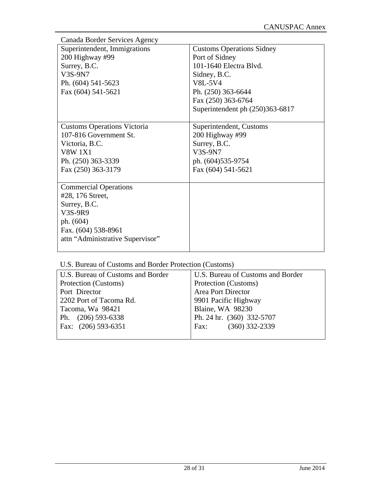| Canada Border Services Agency      |                                  |  |  |
|------------------------------------|----------------------------------|--|--|
| Superintendent, Immigrations       | <b>Customs Operations Sidney</b> |  |  |
| 200 Highway #99                    | Port of Sidney                   |  |  |
| Surrey, B.C.                       | 101-1640 Electra Blvd.           |  |  |
| V3S-9N7                            | Sidney, B.C.                     |  |  |
| Ph. (604) 541-5623                 | <b>V8L-5V4</b>                   |  |  |
| Fax (604) 541-5621                 | Ph. (250) 363-6644               |  |  |
|                                    | Fax (250) 363-6764               |  |  |
|                                    | Superintendent ph (250)363-6817  |  |  |
|                                    |                                  |  |  |
| <b>Customs Operations Victoria</b> | Superintendent, Customs          |  |  |
| 107-816 Government St.             | 200 Highway #99                  |  |  |
| Victoria, B.C.                     | Surrey, B.C.                     |  |  |
| <b>V8W 1X1</b>                     | V3S-9N7                          |  |  |
| Ph. (250) 363-3339                 | ph. $(604)535-9754$              |  |  |
| Fax (250) 363-3179                 | Fax (604) 541-5621               |  |  |
|                                    |                                  |  |  |
| <b>Commercial Operations</b>       |                                  |  |  |
| #28, 176 Street,                   |                                  |  |  |
| Surrey, B.C.                       |                                  |  |  |
| V3S-9R9                            |                                  |  |  |
| ph. (604)                          |                                  |  |  |
| Fax. (604) 538-8961                |                                  |  |  |
| attn "Administrative Supervisor"   |                                  |  |  |
|                                    |                                  |  |  |

#### U.S. Bureau of Customs and Border Protection (Customs)

| U.S. Bureau of Customs and Border | U.S. Bureau of Customs and Border |
|-----------------------------------|-----------------------------------|
| Protection (Customs)              | Protection (Customs)              |
| Port Director                     | <b>Area Port Director</b>         |
| 2202 Port of Tacoma Rd.           | 9901 Pacific Highway              |
| Tacoma, Wa 98421                  | Blaine, WA 98230                  |
| Ph. (206) 593-6338                | Ph. 24 hr. (360) 332-5707         |
| Fax: (206) 593-6351               | $(360)$ 332-2339<br>Fax:          |
|                                   |                                   |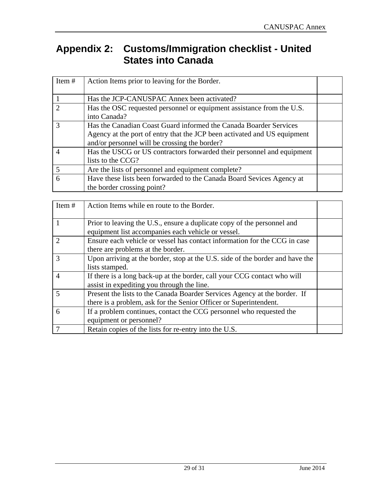## **Appendix 2: Customs/Immigration checklist - United States into Canada**

| Item# | Action Items prior to leaving for the Border.                            |  |
|-------|--------------------------------------------------------------------------|--|
|       | Has the JCP-CANUSPAC Annex been activated?                               |  |
|       | Has the OSC requested personnel or equipment assistance from the U.S.    |  |
|       | into Canada?                                                             |  |
|       | Has the Canadian Coast Guard informed the Canada Boarder Services        |  |
|       | Agency at the port of entry that the JCP been activated and US equipment |  |
|       | and/or personnel will be crossing the border?                            |  |
| 4     | Has the USCG or US contractors forwarded their personnel and equipment   |  |
|       | lists to the CCG?                                                        |  |
|       | Are the lists of personnel and equipment complete?                       |  |
| 6     | Have these lists been forwarded to the Canada Board Sevices Agency at    |  |
|       | the border crossing point?                                               |  |

| Item $#$                    | Action Items while en route to the Border.                                                                                                     |  |
|-----------------------------|------------------------------------------------------------------------------------------------------------------------------------------------|--|
|                             | Prior to leaving the U.S., ensure a duplicate copy of the personnel and<br>equipment list accompanies each vehicle or vessel.                  |  |
| $\mathcal{D}_{\mathcal{A}}$ | Ensure each vehicle or vessel has contact information for the CCG in case<br>there are problems at the border.                                 |  |
| 3                           | Upon arriving at the border, stop at the U.S. side of the border and have the<br>lists stamped.                                                |  |
| $\overline{A}$              | If there is a long back-up at the border, call your CCG contact who will<br>assist in expediting you through the line.                         |  |
| 5                           | Present the lists to the Canada Boarder Services Agency at the border. If<br>there is a problem, ask for the Senior Officer or Superintendent. |  |
| 6                           | If a problem continues, contact the CCG personnel who requested the<br>equipment or personnel?                                                 |  |
|                             | Retain copies of the lists for re-entry into the U.S.                                                                                          |  |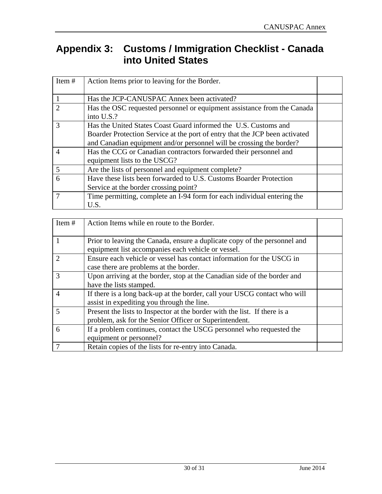## **Appendix 3: Customs / Immigration Checklist - Canada into United States**

| Item $#$                    | Action Items prior to leaving for the Border.                                                                                                                                                                          |  |
|-----------------------------|------------------------------------------------------------------------------------------------------------------------------------------------------------------------------------------------------------------------|--|
|                             | Has the JCP-CANUSPAC Annex been activated?                                                                                                                                                                             |  |
| $\mathcal{D}_{\mathcal{A}}$ | Has the OSC requested personnel or equipment assistance from the Canada<br>into U.S.?                                                                                                                                  |  |
| 3                           | Has the United States Coast Guard informed the U.S. Customs and<br>Boarder Protection Service at the port of entry that the JCP been activated<br>and Canadian equipment and/or personnel will be crossing the border? |  |
| $\overline{4}$              | Has the CCG or Canadian contractors forwarded their personnel and<br>equipment lists to the USCG?                                                                                                                      |  |
| 5                           | Are the lists of personnel and equipment complete?                                                                                                                                                                     |  |
| 6                           | Have these lists been forwarded to U.S. Customs Boarder Protection<br>Service at the border crossing point?                                                                                                            |  |
|                             | Time permitting, complete an I-94 form for each individual entering the<br>U.S.                                                                                                                                        |  |

| Item $#$                    | Action Items while en route to the Border.                                                                                          |  |
|-----------------------------|-------------------------------------------------------------------------------------------------------------------------------------|--|
|                             | Prior to leaving the Canada, ensure a duplicate copy of the personnel and<br>equipment list accompanies each vehicle or vessel.     |  |
| $\mathcal{D}_{\mathcal{A}}$ | Ensure each vehicle or vessel has contact information for the USCG in<br>case there are problems at the border.                     |  |
| 3                           | Upon arriving at the border, stop at the Canadian side of the border and<br>have the lists stamped.                                 |  |
| 4                           | If there is a long back-up at the border, call your USCG contact who will<br>assist in expediting you through the line.             |  |
| 5                           | Present the lists to Inspector at the border with the list. If there is a<br>problem, ask for the Senior Officer or Superintendent. |  |
| 6                           | If a problem continues, contact the USCG personnel who requested the<br>equipment or personnel?                                     |  |
|                             | Retain copies of the lists for re-entry into Canada.                                                                                |  |